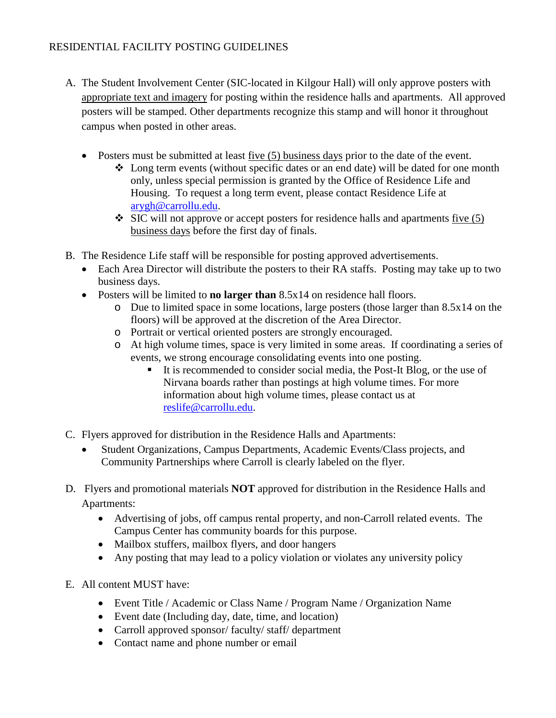- A. The Student Involvement Center (SIC-located in Kilgour Hall) will only approve posters with appropriate text and imagery for posting within the residence halls and apartments. All approved posters will be stamped. Other departments recognize this stamp and will honor it throughout campus when posted in other areas.
	- Posters must be submitted at least five (5) business days prior to the date of the event.
		- Long term events (without specific dates or an end date) will be dated for one month only, unless special permission is granted by the Office of Residence Life and Housing. To request a long term event, please contact Residence Life at [arygh@carrollu.edu.](mailto:arygh@carrollu.edu)
		- $\div$  SIC will not approve or accept posters for residence halls and apartments five (5) business days before the first day of finals.
- B. The Residence Life staff will be responsible for posting approved advertisements.
	- Each Area Director will distribute the posters to their RA staffs. Posting may take up to two business days.
	- Posters will be limited to **no larger than** 8.5x14 on residence hall floors.
		- o Due to limited space in some locations, large posters (those larger than 8.5x14 on the floors) will be approved at the discretion of the Area Director.
		- o Portrait or vertical oriented posters are strongly encouraged.
		- o At high volume times, space is very limited in some areas. If coordinating a series of events, we strong encourage consolidating events into one posting.
			- It is recommended to consider social media, the Post-It Blog, or the use of Nirvana boards rather than postings at high volume times. For more information about high volume times, please contact us at [reslife@carrollu.edu.](mailto:reslife@carrollu.edu)
- C. Flyers approved for distribution in the Residence Halls and Apartments:
	- Student Organizations, Campus Departments, Academic Events/Class projects, and Community Partnerships where Carroll is clearly labeled on the flyer.
- D. Flyers and promotional materials **NOT** approved for distribution in the Residence Halls and Apartments:
	- Advertising of jobs, off campus rental property, and non-Carroll related events. The Campus Center has community boards for this purpose.
	- Mailbox stuffers, mailbox flyers, and door hangers
	- Any posting that may lead to a policy violation or violates any university policy
- E. All content MUST have:
	- Event Title / Academic or Class Name / Program Name / Organization Name
	- Event date (Including day, date, time, and location)
	- Carroll approved sponsor/ faculty/ staff/ department
	- Contact name and phone number or email